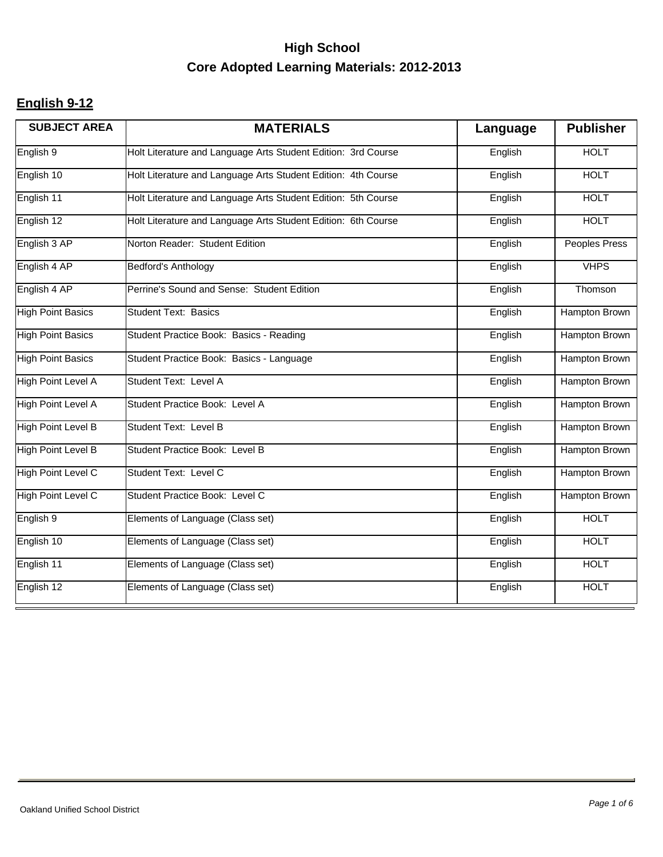#### **English 9-12**

| <b>SUBJECT AREA</b>       | <b>MATERIALS</b>                                              | Language | <b>Publisher</b>     |
|---------------------------|---------------------------------------------------------------|----------|----------------------|
| English <sub>9</sub>      | Holt Literature and Language Arts Student Edition: 3rd Course | English  | <b>HOLT</b>          |
| English 10                | Holt Literature and Language Arts Student Edition: 4th Course | English  | <b>HOLT</b>          |
| English 11                | Holt Literature and Language Arts Student Edition: 5th Course | English  | <b>HOLT</b>          |
| English 12                | Holt Literature and Language Arts Student Edition: 6th Course | English  | <b>HOLT</b>          |
| English 3 AP              | Norton Reader: Student Edition                                | English  | <b>Peoples Press</b> |
| English 4 AP              | Bedford's Anthology                                           | English  | <b>VHPS</b>          |
| English 4 AP              | Perrine's Sound and Sense: Student Edition                    | English  | Thomson              |
| <b>High Point Basics</b>  | <b>Student Text: Basics</b>                                   | English  | <b>Hampton Brown</b> |
| <b>High Point Basics</b>  | Student Practice Book: Basics - Reading                       | English  | Hampton Brown        |
| <b>High Point Basics</b>  | Student Practice Book: Basics - Language                      | English  | <b>Hampton Brown</b> |
| <b>High Point Level A</b> | Student Text: Level A                                         | English  | Hampton Brown        |
| <b>High Point Level A</b> | Student Practice Book: Level A                                | English  | <b>Hampton Brown</b> |
| <b>High Point Level B</b> | <b>Student Text: Level B</b>                                  | English  | Hampton Brown        |
| <b>High Point Level B</b> | Student Practice Book: Level B                                | English  | Hampton Brown        |
| High Point Level C        | Student Text: Level C                                         | English  | Hampton Brown        |
| High Point Level C        | Student Practice Book: Level C                                | English  | <b>Hampton Brown</b> |
| English 9                 | Elements of Language (Class set)                              | English  | <b>HOLT</b>          |
| English 10                | Elements of Language (Class set)                              | English  | <b>HOLT</b>          |
| English 11                | Elements of Language (Class set)                              | English  | <b>HOLT</b>          |
| English 12                | Elements of Language (Class set)                              | English  | <b>HOLT</b>          |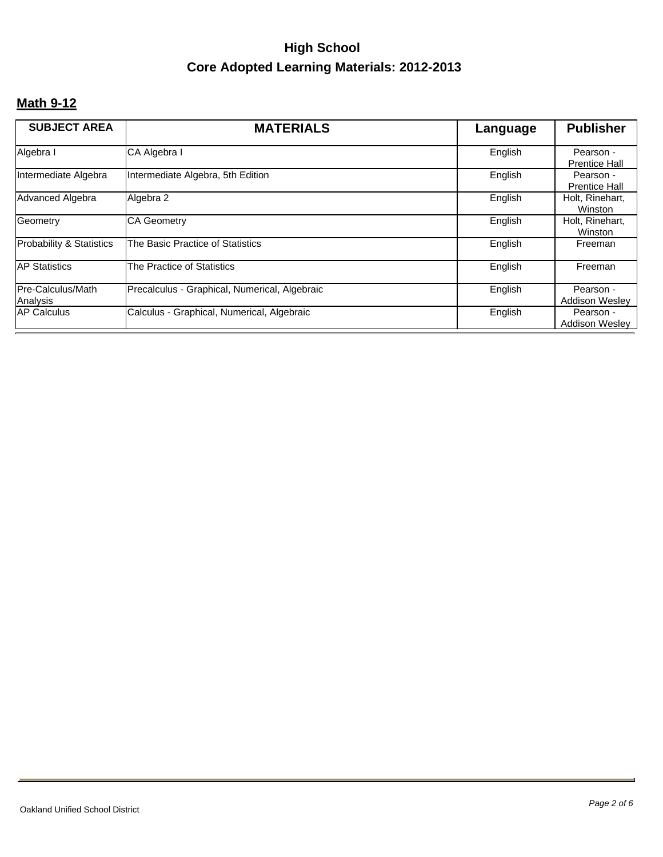#### **Math 9-12**

| <b>SUBJECT AREA</b>           | <b>MATERIALS</b>                              | Language | <b>Publisher</b>                   |
|-------------------------------|-----------------------------------------------|----------|------------------------------------|
| Algebra I                     | CA Algebra I                                  | English  | Pearson -<br><b>Prentice Hall</b>  |
| Intermediate Algebra          | Intermediate Algebra, 5th Edition             | English  | Pearson -<br><b>Prentice Hall</b>  |
| Advanced Algebra              | Algebra 2                                     | English  | Holt, Rinehart,<br>Winston         |
| Geometry                      | <b>CA Geometry</b>                            | English  | Holt, Rinehart,<br>Winston         |
| Probability & Statistics      | The Basic Practice of Statistics              | English  | Freeman                            |
| <b>AP Statistics</b>          | The Practice of Statistics                    | English  | Freeman                            |
| Pre-Calculus/Math<br>Analysis | Precalculus - Graphical, Numerical, Algebraic | English  | Pearson -<br><b>Addison Wesley</b> |
| <b>AP Calculus</b>            | Calculus - Graphical, Numerical, Algebraic    | English  | Pearson -<br><b>Addison Wesley</b> |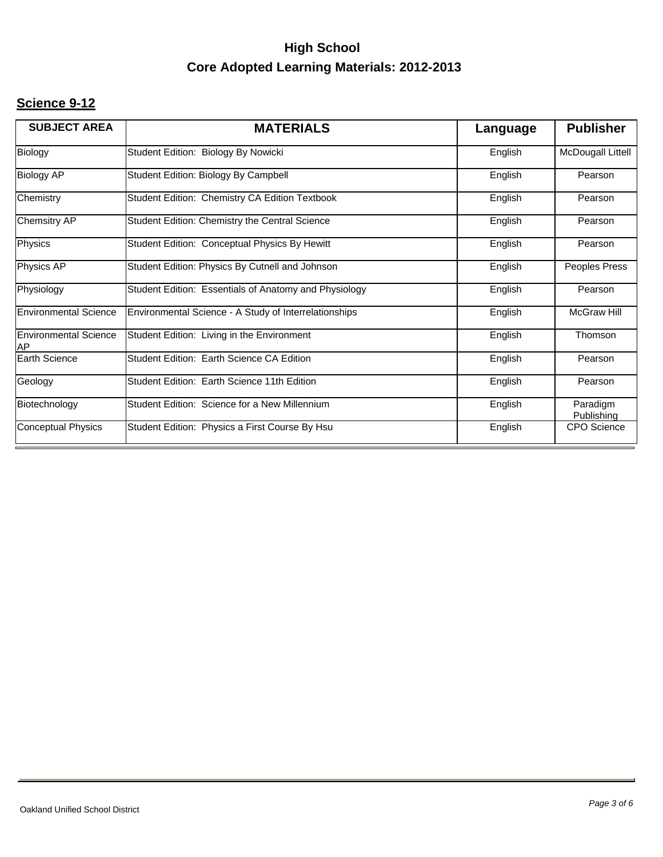#### **Science 9-12**

| <b>MATERIALS</b>                                      | Language | <b>Publisher</b>       |
|-------------------------------------------------------|----------|------------------------|
| Student Edition: Biology By Nowicki                   | English  | McDougall Littell      |
| Student Edition: Biology By Campbell                  | English  | Pearson                |
| Student Edition: Chemistry CA Edition Textbook        | English  | Pearson                |
| Student Edition: Chemistry the Central Science        | English  | Pearson                |
| Student Edition: Conceptual Physics By Hewitt         | English  | Pearson                |
| Student Edition: Physics By Cutnell and Johnson       | English  | Peoples Press          |
| Student Edition: Essentials of Anatomy and Physiology | English  | Pearson                |
| Environmental Science - A Study of Interrelationships | English  | McGraw Hill            |
| Student Edition: Living in the Environment            | English  | Thomson                |
| Student Edition: Earth Science CA Edition             | English  | Pearson                |
| Student Edition: Earth Science 11th Edition           | English  | Pearson                |
| Student Edition: Science for a New Millennium         | English  | Paradigm<br>Publishing |
| Student Edition: Physics a First Course By Hsu        | English  | <b>CPO</b> Science     |
|                                                       |          |                        |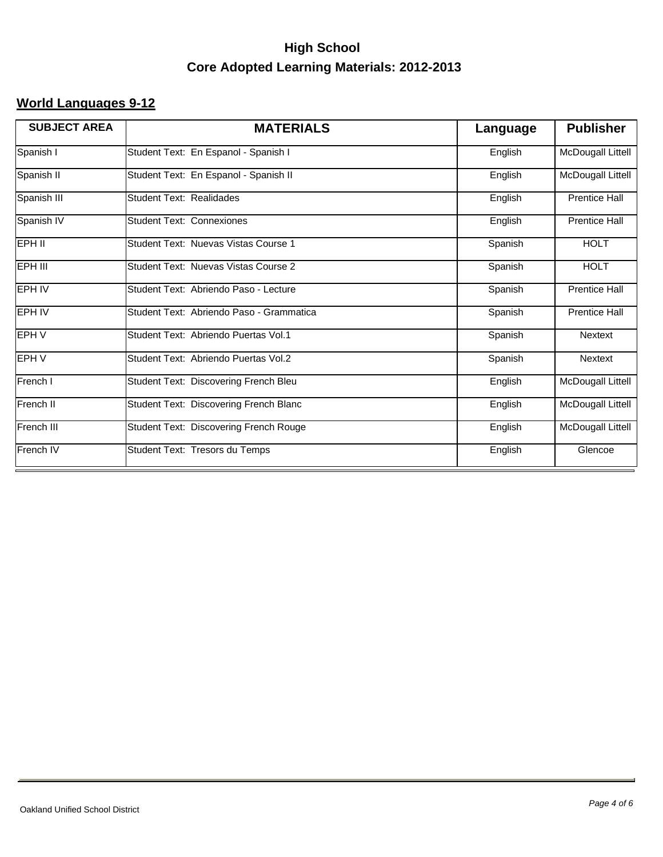#### **World Languages 9-12**

| <b>SUBJECT AREA</b> | <b>MATERIALS</b>                         | Language | <b>Publisher</b>         |
|---------------------|------------------------------------------|----------|--------------------------|
| Spanish I           | Student Text: En Espanol - Spanish I     | English  | McDougall Littell        |
| Spanish II          | Student Text: En Espanol - Spanish II    | English  | McDougall Littell        |
| Spanish III         | Student Text: Realidades                 | English  | <b>Prentice Hall</b>     |
| Spanish IV          | <b>Student Text: Connexiones</b>         | English  | <b>Prentice Hall</b>     |
| EPH II              | Student Text: Nuevas Vistas Course 1     | Spanish  | <b>HOLT</b>              |
| EPH III             | Student Text: Nuevas Vistas Course 2     | Spanish  | <b>HOLT</b>              |
| <b>EPH IV</b>       | Student Text: Abriendo Paso - Lecture    | Spanish  | <b>Prentice Hall</b>     |
| <b>EPH IV</b>       | Student Text: Abriendo Paso - Grammatica | Spanish  | <b>Prentice Hall</b>     |
| EPH V               | Student Text: Abriendo Puertas Vol.1     | Spanish  | <b>Nextext</b>           |
| EPH V               | Student Text: Abriendo Puertas Vol.2     | Spanish  | <b>Nextext</b>           |
| French I            | Student Text: Discovering French Bleu    | English  | McDougall Littell        |
| French II           | Student Text: Discovering French Blanc   | English  | <b>McDougall Littell</b> |
| French III          | Student Text: Discovering French Rouge   | English  | McDougall Littell        |
| French IV           | Student Text: Tresors du Temps           | English  | Glencoe                  |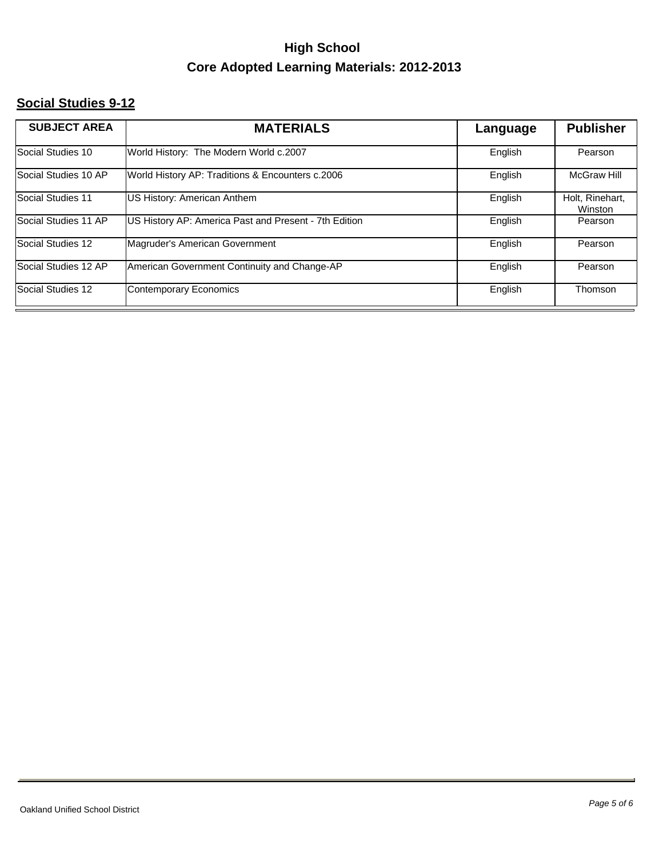#### **Social Studies 9-12**

| <b>SUBJECT AREA</b>  | <b>MATERIALS</b>                                      | Language | <b>Publisher</b>           |
|----------------------|-------------------------------------------------------|----------|----------------------------|
| Social Studies 10    | World History: The Modern World c.2007                | English  | Pearson                    |
| Social Studies 10 AP | World History AP: Traditions & Encounters c.2006      | English  | <b>McGraw Hill</b>         |
| Social Studies 11    | US History: American Anthem                           | English  | Holt, Rinehart,<br>Winston |
| Social Studies 11 AP | US History AP: America Past and Present - 7th Edition | English  | Pearson                    |
| Social Studies 12    | Magruder's American Government                        | English  | Pearson                    |
| Social Studies 12 AP | American Government Continuity and Change-AP          | English  | Pearson                    |
| Social Studies 12    | Contemporary Economics                                | English  | Thomson                    |